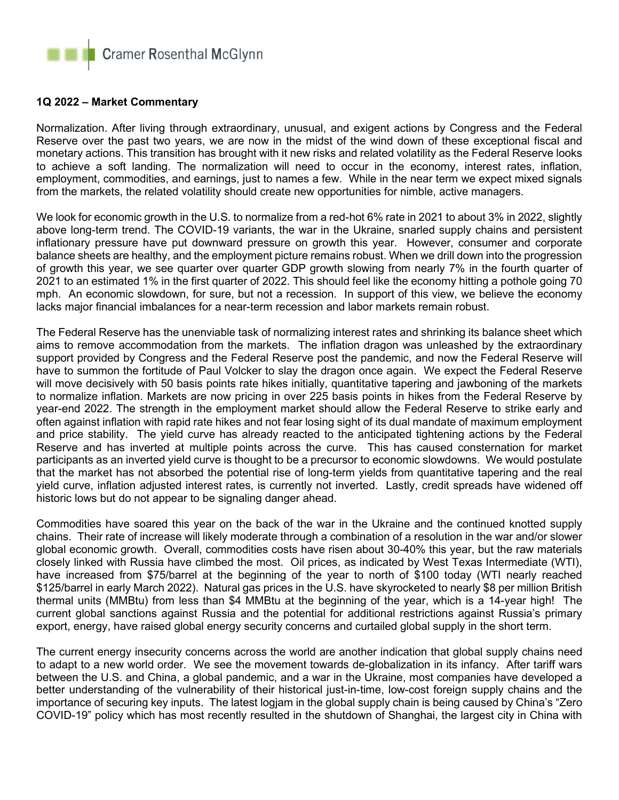

## **1Q 2022 – Market Commentary**

Normalization. After living through extraordinary, unusual, and exigent actions by Congress and the Federal Reserve over the past two years, we are now in the midst of the wind down of these exceptional fiscal and monetary actions. This transition has brought with it new risks and related volatility as the Federal Reserve looks to achieve a soft landing. The normalization will need to occur in the economy, interest rates, inflation, employment, commodities, and earnings, just to names a few. While in the near term we expect mixed signals from the markets, the related volatility should create new opportunities for nimble, active managers.

We look for economic growth in the U.S. to normalize from a red-hot 6% rate in 2021 to about 3% in 2022, slightly above long-term trend. The COVID-19 variants, the war in the Ukraine, snarled supply chains and persistent inflationary pressure have put downward pressure on growth this year. However, consumer and corporate balance sheets are healthy, and the employment picture remains robust. When we drill down into the progression of growth this year, we see quarter over quarter GDP growth slowing from nearly 7% in the fourth quarter of 2021 to an estimated 1% in the first quarter of 2022. This should feel like the economy hitting a pothole going 70 mph. An economic slowdown, for sure, but not a recession. In support of this view, we believe the economy lacks major financial imbalances for a near-term recession and labor markets remain robust.

The Federal Reserve has the unenviable task of normalizing interest rates and shrinking its balance sheet which aims to remove accommodation from the markets. The inflation dragon was unleashed by the extraordinary support provided by Congress and the Federal Reserve post the pandemic, and now the Federal Reserve will have to summon the fortitude of Paul Volcker to slay the dragon once again. We expect the Federal Reserve will move decisively with 50 basis points rate hikes initially, quantitative tapering and jawboning of the markets to normalize inflation. Markets are now pricing in over 225 basis points in hikes from the Federal Reserve by year-end 2022. The strength in the employment market should allow the Federal Reserve to strike early and often against inflation with rapid rate hikes and not fear losing sight of its dual mandate of maximum employment and price stability. The yield curve has already reacted to the anticipated tightening actions by the Federal Reserve and has inverted at multiple points across the curve. This has caused consternation for market participants as an inverted yield curve is thought to be a precursor to economic slowdowns. We would postulate that the market has not absorbed the potential rise of long-term yields from quantitative tapering and the real yield curve, inflation adjusted interest rates, is currently not inverted. Lastly, credit spreads have widened off historic lows but do not appear to be signaling danger ahead.

Commodities have soared this year on the back of the war in the Ukraine and the continued knotted supply chains. Their rate of increase will likely moderate through a combination of a resolution in the war and/or slower global economic growth. Overall, commodities costs have risen about 30-40% this year, but the raw materials closely linked with Russia have climbed the most. Oil prices, as indicated by West Texas Intermediate (WTI), have increased from \$75/barrel at the beginning of the year to north of \$100 today (WTI nearly reached \$125/barrel in early March 2022). Natural gas prices in the U.S. have skyrocketed to nearly \$8 per million British thermal units (MMBtu) from less than \$4 MMBtu at the beginning of the year, which is a 14-year high! The current global sanctions against Russia and the potential for additional restrictions against Russia's primary export, energy, have raised global energy security concerns and curtailed global supply in the short term.

The current energy insecurity concerns across the world are another indication that global supply chains need to adapt to a new world order. We see the movement towards de-globalization in its infancy. After tariff wars between the U.S. and China, a global pandemic, and a war in the Ukraine, most companies have developed a better understanding of the vulnerability of their historical just-in-time, low-cost foreign supply chains and the importance of securing key inputs. The latest logjam in the global supply chain is being caused by China's "Zero COVID-19" policy which has most recently resulted in the shutdown of Shanghai, the largest city in China with